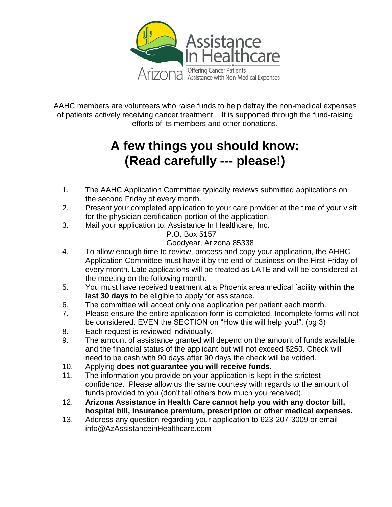

AAHC members are volunteers who raise funds to help defray the non-medical expenses of patients actively receiving cancer treatment. It is supported through the fund-raising efforts of its members and other donations.

# **A few things you should know: (Read carefully --- please!)**

- 1. The AAHC Application Committee typically reviews submitted applications on the second Friday of every month.
- 2. Present your completed application to your care provider at the time of your visit for the physician certification portion of the application.
- 3. Mail your application to: Assistance In Healthcare, Inc.

P.O. Box 5157

## Goodyear, Arizona 85338

- 4. To allow enough time to review, process and copy your application, the AHHC Application Committee must have it by the end of business on the First Friday of every month. Late applications will be treated as LATE and will be considered at the meeting on the following month.
- 5. You must have received treatment at a Phoenix area medical facility **within the last 30 days** to be eligible to apply for assistance.
- 6. The committee will accept only one application per patient each month.
- 7. Please ensure the entire application form is completed. Incomplete forms will not be considered. EVEN the SECTION on "How this will help you!". (pg 3)
- 8. Each request is reviewed individually.
- 9. The amount of assistance granted will depend on the amount of funds available and the financial status of the applicant but will not exceed \$250. Check will need to be cash with 90 days after 90 days the check will be voided.
- 10. Applying **does not guarantee you will receive funds.**
- 11. The information you provide on your application is kept in the strictest confidence. Please allow us the same courtesy with regards to the amount of funds provided to you (don't tell others how much you received).
- 12. **Arizona Assistance in Health Care cannot help you with any doctor bill, hospital bill, insurance premium, prescription or other medical expenses.**
- 13. Address any question regarding your application to 623-207-3009 or email info@AzAssistanceinHealthcare.com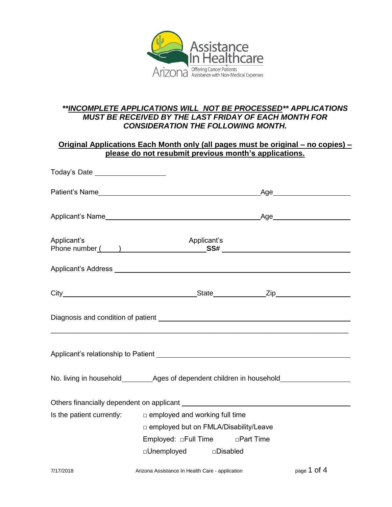

### *\*\*INCOMPLETE APPLICATIONS WILL NOT BE PROCESSED\*\* APPLICATIONS MUST BE RECEIVED BY THE LAST FRIDAY OF EACH MONTH FOR CONSIDERATION THE FOLLOWING MONTH.*

| <u> Original Applications Each Month only (all pages must be original – no copies) –</u><br>please do not resubmit previous month's applications. |             |  |  |
|---------------------------------------------------------------------------------------------------------------------------------------------------|-------------|--|--|
| Today's Date ____________________                                                                                                                 |             |  |  |
|                                                                                                                                                   |             |  |  |
|                                                                                                                                                   |             |  |  |
| Applicant's                                                                                                                                       | Applicant's |  |  |
|                                                                                                                                                   |             |  |  |
|                                                                                                                                                   |             |  |  |
|                                                                                                                                                   |             |  |  |
| Applicant's relationship to Patient Material Applicant's relationship to Patient                                                                  |             |  |  |
|                                                                                                                                                   |             |  |  |
|                                                                                                                                                   |             |  |  |
| $\mathsf{R}$ is the nation currently: $\mathsf{R}$ employed and working full time                                                                 |             |  |  |

| Is the patient currently: | $\Box$ employed and working full time        |            |
|---------------------------|----------------------------------------------|------------|
|                           | $\Box$ employed but on FMLA/Disability/Leave |            |
|                           | Employed: $\Box$ Full Time                   | □Part Time |
|                           | $\square$ Unemployed                         | □Disabled  |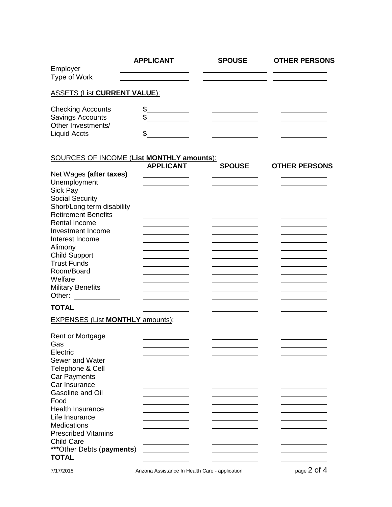|                                                                                                                                                                                                                                                                                                                                         | <b>APPLICANT</b> | <b>SPOUSE</b> | <b>OTHER PERSONS</b> |
|-----------------------------------------------------------------------------------------------------------------------------------------------------------------------------------------------------------------------------------------------------------------------------------------------------------------------------------------|------------------|---------------|----------------------|
| Employer<br>Type of Work                                                                                                                                                                                                                                                                                                                |                  |               |                      |
| <b>ASSETS (List CURRENT VALUE):</b>                                                                                                                                                                                                                                                                                                     |                  |               |                      |
| <b>Checking Accounts</b><br><b>Savings Accounts</b><br>Other Investments/<br><b>Liquid Accts</b>                                                                                                                                                                                                                                        | \$.<br>\$<br>\$  |               |                      |
| <b>SOURCES OF INCOME (List MONTHLY amounts):</b>                                                                                                                                                                                                                                                                                        |                  |               |                      |
| Net Wages (after taxes)<br>Unemployment<br>Sick Pay<br><b>Social Security</b><br>Short/Long term disability<br><b>Retirement Benefits</b><br><b>Rental Income</b><br>Investment Income<br>Interest Income<br>Alimony<br><b>Child Support</b><br><b>Trust Funds</b><br>Room/Board<br>Welfare<br><b>Military Benefits</b><br><b>TOTAL</b> | <b>APPLICANT</b> | <b>SPOUSE</b> | <b>OTHER PERSONS</b> |
| <b>EXPENSES (List MONTHLY amounts):</b>                                                                                                                                                                                                                                                                                                 |                  |               |                      |
| Rent or Mortgage<br>Gas<br>Electric<br>Sewer and Water<br>Telephone & Cell<br><b>Car Payments</b><br>Car Insurance<br>Gasoline and Oil<br>Food<br><b>Health Insurance</b><br>Life Insurance<br>Medications<br><b>Prescribed Vitamins</b><br><b>Child Care</b><br>*** Other Debts (payments)                                             |                  |               |                      |
| <b>TOTAL</b>                                                                                                                                                                                                                                                                                                                            |                  |               |                      |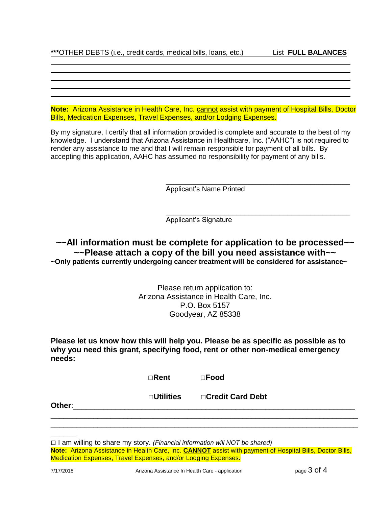**Note:** Arizona Assistance in Health Care, Inc. cannot assist with payment of Hospital Bills, Doctor Bills, Medication Expenses, Travel Expenses, and/or Lodging Expenses.

By my signature, I certify that all information provided is complete and accurate to the best of my knowledge. I understand that Arizona Assistance in Healthcare, Inc. ("AAHC") is not required to render any assistance to me and that I will remain responsible for payment of all bills. By accepting this application, AAHC has assumed no responsibility for payment of any bills.

Applicant's Name Printed

\_\_\_\_\_\_\_\_\_\_\_\_\_\_\_\_\_\_\_\_\_\_\_\_\_\_\_\_\_\_\_\_\_\_\_\_\_\_\_\_\_\_\_\_\_\_\_

\_\_\_\_\_\_\_\_\_\_\_\_\_\_\_\_\_\_\_\_\_\_\_\_\_\_\_\_\_\_\_\_\_\_\_\_\_\_\_\_\_\_\_\_\_\_\_

Applicant's Signature

### **~~All information must be complete for application to be processed~~ ~~Please attach a copy of the bill you need assistance with~~ ~Only patients currently undergoing cancer treatment will be considered for assistance~**

Please return application to: Arizona Assistance in Health Care, Inc. P.O. Box 5157 Goodyear, AZ 85338

**Please let us know how this will help you. Please be as specific as possible as to why you need this grant, specifying food, rent or other non-medical emergency needs:** 

| $\square$ Food<br>$\Box$ Rent |
|-------------------------------|
|-------------------------------|

□**Utilities** □**Credit Card Debt**

\_\_\_\_\_\_\_\_\_\_\_\_\_\_\_\_\_\_\_\_\_\_\_\_\_\_\_\_\_\_\_\_\_\_\_\_\_\_\_\_\_\_\_\_\_\_\_\_\_\_\_\_\_\_\_\_\_\_\_\_\_\_\_\_\_\_\_\_\_\_\_\_ \_\_\_\_\_\_\_\_\_\_\_\_\_\_\_\_\_\_\_\_\_\_\_\_\_\_\_\_\_\_\_\_\_\_\_\_\_\_\_\_\_\_\_\_\_\_\_\_\_\_\_\_\_\_\_\_\_\_\_\_\_\_\_\_\_\_\_\_\_\_\_\_

**Other**:\_\_\_\_\_\_\_\_\_\_\_\_\_\_\_\_\_\_\_\_\_\_\_\_\_\_\_\_\_\_\_\_\_\_\_\_\_\_\_\_\_\_\_\_\_\_\_\_\_\_\_\_\_\_\_\_\_\_\_\_\_\_\_\_\_\_

 $\overline{\phantom{a}}$ 

<sup>□</sup> I am willing to share my story. *(Financial information will NOT be shared)*

**Note:** Arizona Assistance in Health Care, Inc. **CANNOT** assist with payment of Hospital Bills, Doctor Bills, Medication Expenses, Travel Expenses, and/or Lodging Expenses.